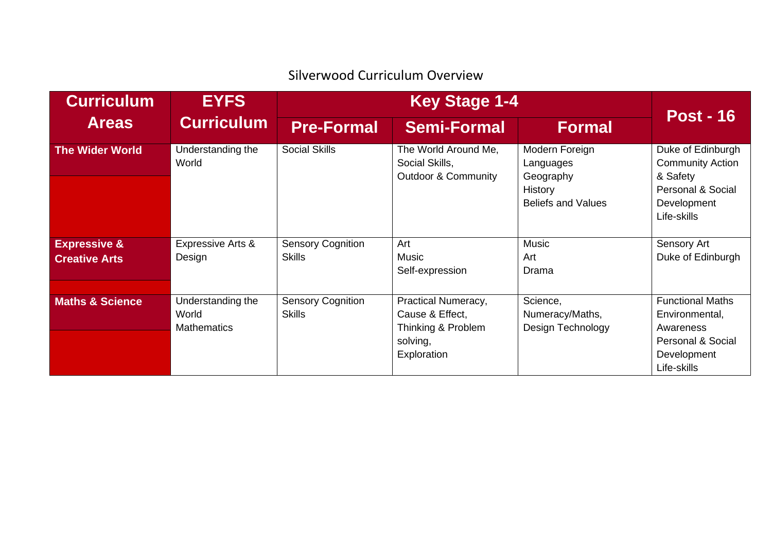## Silverwood Curriculum Overview

| <b>Curriculum</b><br><b>Areas</b>               | <b>EYFS</b><br><b>Curriculum</b>                 | <b>Key Stage 1-4</b>                      |                                                                                         |                                                                                         |                                                                                                             |
|-------------------------------------------------|--------------------------------------------------|-------------------------------------------|-----------------------------------------------------------------------------------------|-----------------------------------------------------------------------------------------|-------------------------------------------------------------------------------------------------------------|
|                                                 |                                                  | <b>Pre-Formal</b>                         | <b>Semi-Formal</b>                                                                      | <b>Formal</b>                                                                           | <b>Post - 16</b>                                                                                            |
| <b>The Wider World</b>                          | Understanding the<br>World                       | <b>Social Skills</b>                      | The World Around Me,<br>Social Skills,<br><b>Outdoor &amp; Community</b>                | Modern Foreign<br>Languages<br>Geography<br><b>History</b><br><b>Beliefs and Values</b> | Duke of Edinburgh<br><b>Community Action</b><br>& Safety<br>Personal & Social<br>Development<br>Life-skills |
| <b>Expressive &amp;</b><br><b>Creative Arts</b> | <b>Expressive Arts &amp;</b><br>Design           | <b>Sensory Cognition</b><br><b>Skills</b> | Art<br><b>Music</b><br>Self-expression                                                  | <b>Music</b><br>Art<br>Drama                                                            | Sensory Art<br>Duke of Edinburgh                                                                            |
| <b>Maths &amp; Science</b>                      | Understanding the<br>World<br><b>Mathematics</b> | <b>Sensory Cognition</b><br><b>Skills</b> | Practical Numeracy,<br>Cause & Effect,<br>Thinking & Problem<br>solving,<br>Exploration | Science,<br>Numeracy/Maths,<br>Design Technology                                        | <b>Functional Maths</b><br>Environmental,<br>Awareness<br>Personal & Social<br>Development<br>Life-skills   |